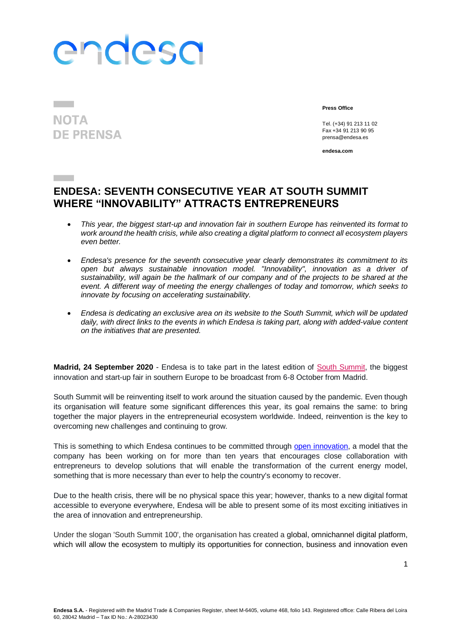# endesa

### **NOTA DE PRENSA**

**Contract Contract** 

**Press Office**

Tel. (+34) 91 213 11 02 Fax +34 91 213 90 95 prensa@endesa.es

**endesa.com**

### **ENDESA: SEVENTH CONSECUTIVE YEAR AT SOUTH SUMMIT WHERE "INNOVABILITY" ATTRACTS ENTREPRENEURS**

- *This year, the biggest start-up and innovation fair in southern Europe has reinvented its format to work around the health crisis, while also creating a digital platform to connect all ecosystem players even better.*
- *Endesa's presence for the seventh consecutive year clearly demonstrates its commitment to its open but always sustainable innovation model. "Innovability", innovation as a driver of sustainability, will again be the hallmark of our company and of the projects to be shared at the event. A different way of meeting the energy challenges of today and tomorrow, which seeks to innovate by focusing on accelerating sustainability.*
- *Endesa is dedicating an exclusive area on its website to the South Summit, which will be updated daily, with direct links to the events in which Endesa is taking part, along with added-value content on the initiatives that are presented.*

**Madrid, 24 September 2020** - Endesa is to take part in the latest edition of [South Summit,](https://www.southsummit.co/en/home) the biggest innovation and start-up fair in southern Europe to be broadcast from 6-8 October from Madrid.

South Summit will be reinventing itself to work around the situation caused by the pandemic. Even though its organisation will feature some significant differences this year, its goal remains the same: to bring together the major players in the entrepreneurial ecosystem worldwide. Indeed, reinvention is the key to overcoming new challenges and continuing to grow.

This is something to which Endesa continues to be committed through [open innovation,](https://www.endesa.com/es/nuestro-compromiso/innovacion/innovacion-abierta) a model that the company has been working on for more than ten years that encourages close collaboration with entrepreneurs to develop solutions that will enable the transformation of the current energy model, something that is more necessary than ever to help the country's economy to recover.

Due to the health crisis, there will be no physical space this year; however, thanks to a new digital format accessible to everyone everywhere, Endesa will be able to present some of its most exciting initiatives in the area of innovation and entrepreneurship.

Under the slogan 'South Summit 100', the organisation has created a global, omnichannel digital platform, which will allow the ecosystem to multiply its opportunities for connection, business and innovation even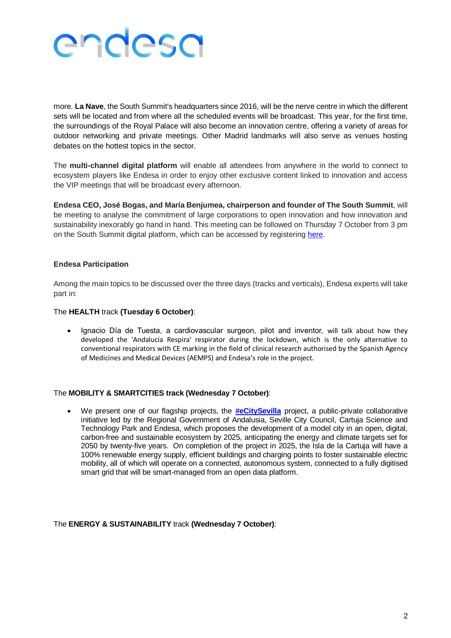

more. **La Nave**, the South Summit's headquarters since 2016, will be the nerve centre in which the different sets will be located and from where all the scheduled events will be broadcast. This year, for the first time, the surroundings of the Royal Palace will also become an innovation centre, offering a variety of areas for outdoor networking and private meetings. Other Madrid landmarks will also serve as venues hosting debates on the hottest topics in the sector.

The **multi-channel digital platform** will enable all attendees from anywhere in the world to connect to ecosystem players like Endesa in order to enjoy other exclusive content linked to innovation and access the VIP meetings that will be broadcast every afternoon.

**Endesa CEO, José Bogas, and María Benjumea, chairperson and founder of The South Summit**, will be meeting to analyse the commitment of large corporations to open innovation and how innovation and sustainability inexorably go hand in hand. This meeting can be followed on Thursday 7 October from 3 pm on the South Summit digital platform, which can be accessed by registering [here.](https://2020.southsummit.co/attendance/event/index/37844/EN)

#### **Endesa Participation**

Among the main topics to be discussed over the three days (tracks and verticals), Endesa experts will take part in:

#### The **HEALTH** track **(Tuesday 6 October)**:

 Ignacio Día de Tuesta, a cardiovascular surgeon, pilot and inventor, will talk about how they developed the 'Andalucía Respira' respirator during the lockdown, which is the only alternative to conventional respirators with CE marking in the field of clinical research authorised by the Spanish Agency of Medicines and Medical Devices (AEMPS) and Endesa's role in the project.

#### The **MOBILITY & SMARTCITIES track (Wednesday 7 October)**:

 We present one of our flagship projects, the **[#eCitySevilla](https://www.endesa.com/es/prensa/sala-de-prensa/noticias/transicion-energetica/digitalizacion/endesa-disena-una-isla-de-la-cartuja-cien-por-cien-renovable-en-2025)** project, a public-private collaborative initiative led by the Regional Government of Andalusia, Seville City Council, Cartuja Science and Technology Park and Endesa, which proposes the development of a model city in an open, digital, carbon-free and sustainable ecosystem by 2025, anticipating the energy and climate targets set for 2050 by twenty-five years. On completion of the project in 2025, the Isla de la Cartuja will have a 100% renewable energy supply, efficient buildings and charging points to foster sustainable electric mobility, all of which will operate on a connected, autonomous system, connected to a fully digitised smart grid that will be smart-managed from an open data platform.

The **ENERGY & SUSTAINABILITY** track **(Wednesday 7 October)**: